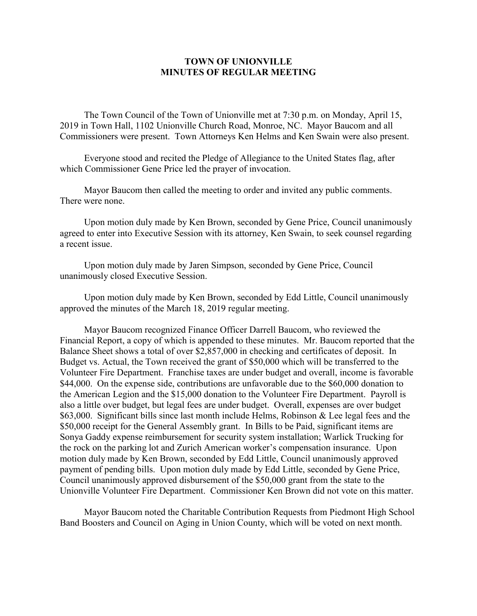## **TOWN OF UNIONVILLE MINUTES OF REGULAR MEETING**

The Town Council of the Town of Unionville met at 7:30 p.m. on Monday, April 15, 2019 in Town Hall, 1102 Unionville Church Road, Monroe, NC. Mayor Baucom and all Commissioners were present. Town Attorneys Ken Helms and Ken Swain were also present.

Everyone stood and recited the Pledge of Allegiance to the United States flag, after which Commissioner Gene Price led the prayer of invocation.

Mayor Baucom then called the meeting to order and invited any public comments. There were none.

Upon motion duly made by Ken Brown, seconded by Gene Price, Council unanimously agreed to enter into Executive Session with its attorney, Ken Swain, to seek counsel regarding a recent issue.

Upon motion duly made by Jaren Simpson, seconded by Gene Price, Council unanimously closed Executive Session.

Upon motion duly made by Ken Brown, seconded by Edd Little, Council unanimously approved the minutes of the March 18, 2019 regular meeting.

Mayor Baucom recognized Finance Officer Darrell Baucom, who reviewed the Financial Report, a copy of which is appended to these minutes. Mr. Baucom reported that the Balance Sheet shows a total of over \$2,857,000 in checking and certificates of deposit. In Budget vs. Actual, the Town received the grant of \$50,000 which will be transferred to the Volunteer Fire Department. Franchise taxes are under budget and overall, income is favorable \$44,000. On the expense side, contributions are unfavorable due to the \$60,000 donation to the American Legion and the \$15,000 donation to the Volunteer Fire Department. Payroll is also a little over budget, but legal fees are under budget. Overall, expenses are over budget \$63,000. Significant bills since last month include Helms, Robinson & Lee legal fees and the \$50,000 receipt for the General Assembly grant. In Bills to be Paid, significant items are Sonya Gaddy expense reimbursement for security system installation; Warlick Trucking for the rock on the parking lot and Zurich American worker's compensation insurance. Upon motion duly made by Ken Brown, seconded by Edd Little, Council unanimously approved payment of pending bills. Upon motion duly made by Edd Little, seconded by Gene Price, Council unanimously approved disbursement of the \$50,000 grant from the state to the Unionville Volunteer Fire Department. Commissioner Ken Brown did not vote on this matter.

Mayor Baucom noted the Charitable Contribution Requests from Piedmont High School Band Boosters and Council on Aging in Union County, which will be voted on next month.